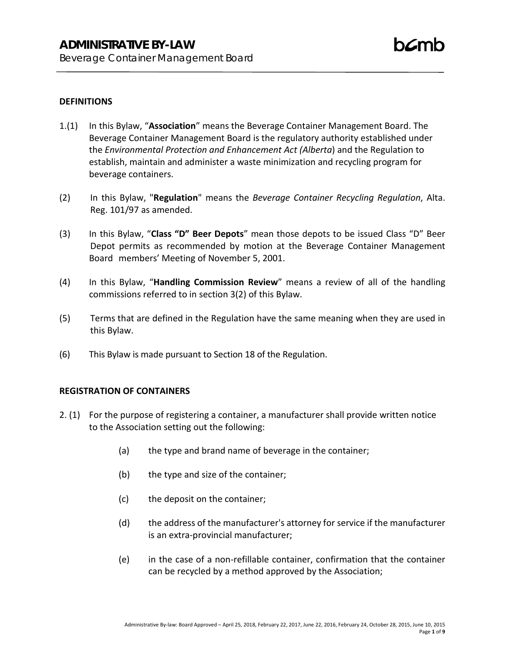### **DEFINITIONS**

- 1.(1) In this Bylaw, "**Association**" means the Beverage Container Management Board. The Beverage Container Management Board is the regulatory authority established under the *Environmental Protection and Enhancement Act (Alberta*) and the Regulation to establish, maintain and administer a waste minimization and recycling program for beverage containers.
- (2) In this Bylaw, "**Regulation**" means the *Beverage Container Recycling Regulation*, Alta. Reg. 101/97 as amended.
- (3) In this Bylaw, "**Class "D" Beer Depots**" mean those depots to be issued Class "D" Beer Depot permits as recommended by motion at the Beverage Container Management Board members' Meeting of November 5, 2001.
- (4) In this Bylaw, "**Handling Commission Review**" means a review of all of the handling commissions referred to in section 3(2) of this Bylaw.
- (5) Terms that are defined in the Regulation have the same meaning when they are used in this Bylaw.
- (6) This Bylaw is made pursuant to Section 18 of the Regulation.

#### **REGISTRATION OF CONTAINERS**

- 2. (1) For the purpose of registering a container, a manufacturer shall provide written notice to the Association setting out the following:
	- (a) the type and brand name of beverage in the container;
	- (b) the type and size of the container;
	- (c) the deposit on the container;
	- (d) the address of the manufacturer's attorney for service if the manufacturer is an extra-provincial manufacturer;
	- (e) in the case of a non-refillable container, confirmation that the container can be recycled by a method approved by the Association;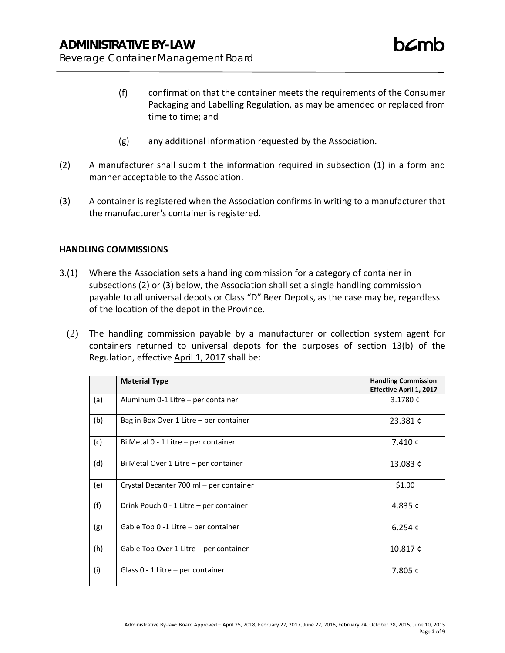- (f) confirmation that the container meets the requirements of the Consumer Packaging and Labelling Regulation, as may be amended or replaced from time to time; and
- (g) any additional information requested by the Association.
- (2) A manufacturer shall submit the information required in subsection (1) in a form and manner acceptable to the Association.
- (3) A container is registered when the Association confirms in writing to a manufacturer that the manufacturer's container is registered.

#### **HANDLING COMMISSIONS**

- 3.(1) Where the Association sets a handling commission for a category of container in subsections (2) or (3) below, the Association shall set a single handling commission payable to all universal depots or Class "D" Beer Depots, as the case may be, regardless of the location of the depot in the Province.
	- (2) The handling commission payable by a manufacturer or collection system agent for containers returned to universal depots for the purposes of section 13(b) of the Regulation, effective April 1, 2017 shall be:

|     | <b>Material Type</b>                    | <b>Handling Commission</b><br><b>Effective April 1, 2017</b> |
|-----|-----------------------------------------|--------------------------------------------------------------|
| (a) | Aluminum 0-1 Litre – per container      | 3.1780 ¢                                                     |
| (b) | Bag in Box Over 1 Litre - per container | 23.381 ¢                                                     |
| (c) | Bi Metal 0 - 1 Litre – per container    | 7.410 ¢                                                      |
| (d) | Bi Metal Over 1 Litre - per container   | 13.083 ¢                                                     |
| (e) | Crystal Decanter 700 ml - per container | \$1.00                                                       |
| (f) | Drink Pouch 0 - 1 Litre - per container | 4.835 $c$                                                    |
| (g) | Gable Top 0 -1 Litre - per container    | 6.254 $c$                                                    |
| (h) | Gable Top Over 1 Litre - per container  | 10.817 c                                                     |
| (i) | Glass $0 - 1$ Litre – per container     | 7.805 ¢                                                      |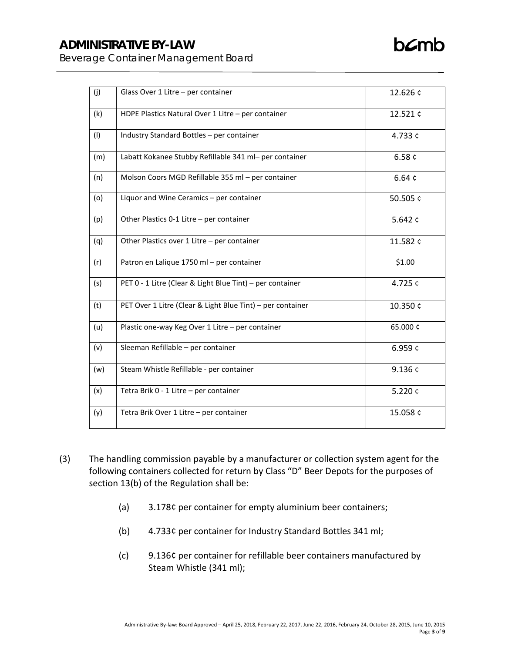# **ADMINISTRATIVE BY-LAW**

 $b\mathcal{L}$ mb

Beverage Container Management Board

| (j) | Glass Over 1 Litre - per container                         | 12.626 ¢  |
|-----|------------------------------------------------------------|-----------|
| (k) | HDPE Plastics Natural Over 1 Litre - per container         | 12.521¢   |
| (1) | Industry Standard Bottles - per container                  | 4.733 ¢   |
| (m) | Labatt Kokanee Stubby Refillable 341 ml- per container     | 6.58 $c$  |
| (n) | Molson Coors MGD Refillable 355 ml - per container         | 6.64c     |
| (o) | Liquor and Wine Ceramics - per container                   | 50.505 ¢  |
| (p) | Other Plastics 0-1 Litre - per container                   | 5.642 $c$ |
| (q) | Other Plastics over 1 Litre - per container                | 11.582¢   |
| (r) | Patron en Lalique 1750 ml - per container                  | \$1.00    |
| (s) | PET 0 - 1 Litre (Clear & Light Blue Tint) - per container  | 4.725 ¢   |
| (t) | PET Over 1 Litre (Clear & Light Blue Tint) - per container | 10.350 ¢  |
| (u) | Plastic one-way Keg Over 1 Litre - per container           | 65.000 ¢  |
| (v) | Sleeman Refillable - per container                         | 6.959 ¢   |
| (w) | Steam Whistle Refillable - per container                   | 9.136 ¢   |
| (x) | Tetra Brik 0 - 1 Litre - per container                     | 5.220 ¢   |
| (y) | Tetra Brik Over 1 Litre - per container                    | 15.058 ¢  |

- (3) The handling commission payable by a manufacturer or collection system agent for the following containers collected for return by Class "D" Beer Depots for the purposes of section 13(b) of the Regulation shall be:
	- (a) 3.178¢ per container for empty aluminium beer containers;
	- (b) 4.733¢ per container for Industry Standard Bottles 341 ml;
	- (c) 9.136¢ per container for refillable beer containers manufactured by Steam Whistle (341 ml);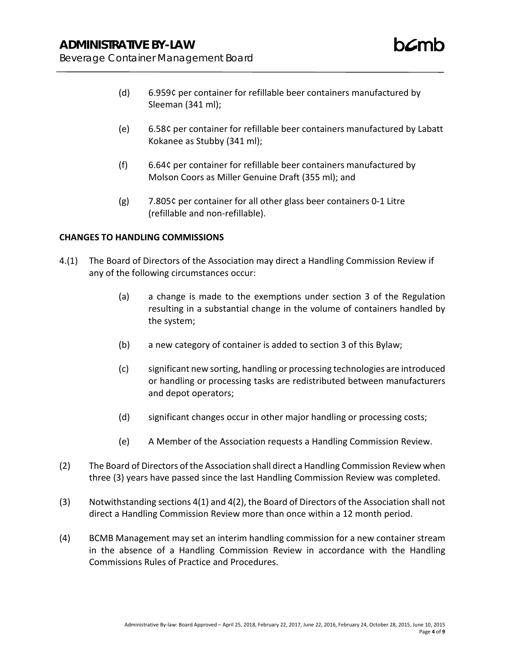- (d) 6.959¢ per container for refillable beer containers manufactured by Sleeman (341 ml);
- (e) 6.58¢ per container for refillable beer containers manufactured by Labatt Kokanee as Stubby (341 ml);
- (f) 6.64¢ per container for refillable beer containers manufactured by Molson Coors as Miller Genuine Draft (355 ml); and
- (g) 7.805¢ per container for all other glass beer containers 0-1 Litre (refillable and non-refillable).

## **CHANGES TO HANDLING COMMISSIONS**

- 4.(1) The Board of Directors of the Association may direct a Handling Commission Review if any of the following circumstances occur:
	- (a) a change is made to the exemptions under section 3 of the Regulation resulting in a substantial change in the volume of containers handled by the system;
	- (b) a new category of container is added to section 3 of this Bylaw;
	- (c) significant new sorting, handling or processing technologies are introduced or handling or processing tasks are redistributed between manufacturers and depot operators;
	- (d) significant changes occur in other major handling or processing costs;
	- (e) A Member of the Association requests a Handling Commission Review.
- (2) The Board of Directors of the Association shall direct a Handling Commission Review when three (3) years have passed since the last Handling Commission Review was completed.
- (3) Notwithstanding sections 4(1) and 4(2), the Board of Directors of the Association shall not direct a Handling Commission Review more than once within a 12 month period.
- (4) BCMB Management may set an interim handling commission for a new container stream in the absence of a Handling Commission Review in accordance with the Handling Commissions Rules of Practice and Procedures.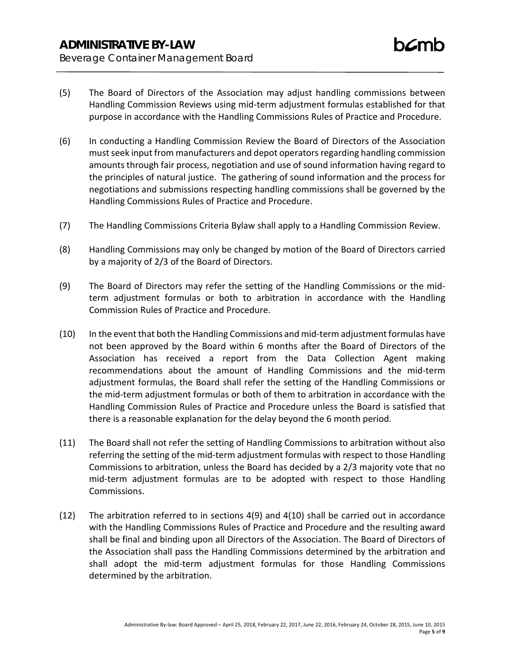- (5) The Board of Directors of the Association may adjust handling commissions between Handling Commission Reviews using mid-term adjustment formulas established for that purpose in accordance with the Handling Commissions Rules of Practice and Procedure.
- (6) In conducting a Handling Commission Review the Board of Directors of the Association must seek input from manufacturers and depot operators regarding handling commission amounts through fair process, negotiation and use of sound information having regard to the principles of natural justice. The gathering of sound information and the process for negotiations and submissions respecting handling commissions shall be governed by the Handling Commissions Rules of Practice and Procedure.
- (7) The Handling Commissions Criteria Bylaw shall apply to a Handling Commission Review.
- (8) Handling Commissions may only be changed by motion of the Board of Directors carried by a majority of 2/3 of the Board of Directors.
- (9) The Board of Directors may refer the setting of the Handling Commissions or the midterm adjustment formulas or both to arbitration in accordance with the Handling Commission Rules of Practice and Procedure.
- (10) In the event that both the Handling Commissions and mid-term adjustment formulas have not been approved by the Board within 6 months after the Board of Directors of the Association has received a report from the Data Collection Agent making recommendations about the amount of Handling Commissions and the mid-term adjustment formulas, the Board shall refer the setting of the Handling Commissions or the mid-term adjustment formulas or both of them to arbitration in accordance with the Handling Commission Rules of Practice and Procedure unless the Board is satisfied that there is a reasonable explanation for the delay beyond the 6 month period.
- (11) The Board shall not refer the setting of Handling Commissions to arbitration without also referring the setting of the mid-term adjustment formulas with respect to those Handling Commissions to arbitration, unless the Board has decided by a 2/3 majority vote that no mid-term adjustment formulas are to be adopted with respect to those Handling Commissions.
- (12) The arbitration referred to in sections 4(9) and 4(10) shall be carried out in accordance with the Handling Commissions Rules of Practice and Procedure and the resulting award shall be final and binding upon all Directors of the Association. The Board of Directors of the Association shall pass the Handling Commissions determined by the arbitration and shall adopt the mid-term adjustment formulas for those Handling Commissions determined by the arbitration.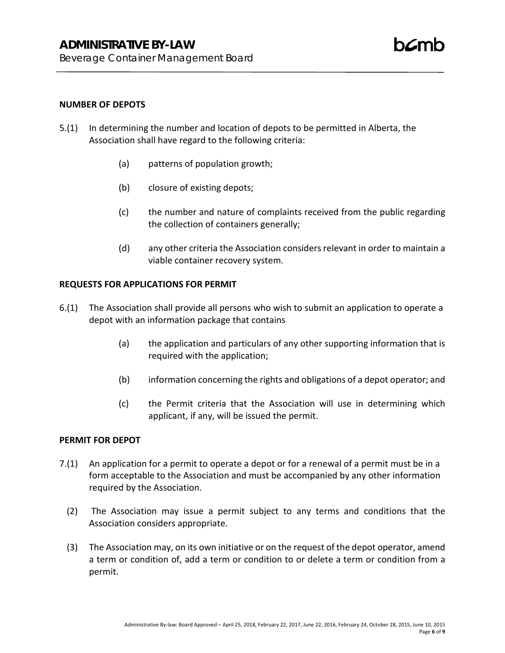#### **NUMBER OF DEPOTS**

- 5.(1) In determining the number and location of depots to be permitted in Alberta, the Association shall have regard to the following criteria:
	- (a) patterns of population growth;
	- (b) closure of existing depots;
	- (c) the number and nature of complaints received from the public regarding the collection of containers generally;
	- (d) any other criteria the Association considers relevant in order to maintain a viable container recovery system.

#### **REQUESTS FOR APPLICATIONS FOR PERMIT**

- 6.(1) The Association shall provide all persons who wish to submit an application to operate a depot with an information package that contains
	- (a) the application and particulars of any other supporting information that is required with the application;
	- (b) information concerning the rights and obligations of a depot operator; and
	- (c) the Permit criteria that the Association will use in determining which applicant, if any, will be issued the permit.

#### **PERMIT FOR DEPOT**

- 7.(1) An application for a permit to operate a depot or for a renewal of a permit must be in a form acceptable to the Association and must be accompanied by any other information required by the Association.
	- (2) The Association may issue a permit subject to any terms and conditions that the Association considers appropriate.
	- (3) The Association may, on its own initiative or on the request of the depot operator, amend a term or condition of, add a term or condition to or delete a term or condition from a permit.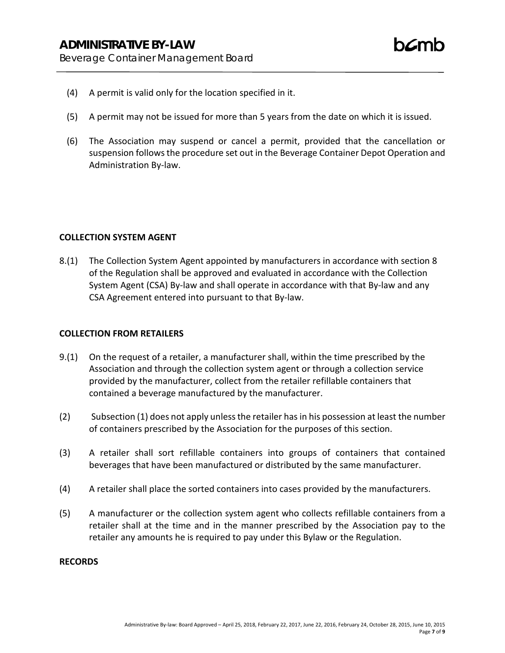- (4) A permit is valid only for the location specified in it.
- (5) A permit may not be issued for more than 5 years from the date on which it is issued.
- (6) The Association may suspend or cancel a permit, provided that the cancellation or suspension follows the procedure set out in the Beverage Container Depot Operation and Administration By-law.

#### **COLLECTION SYSTEM AGENT**

8.(1) The Collection System Agent appointed by manufacturers in accordance with section 8 of the Regulation shall be approved and evaluated in accordance with the Collection System Agent (CSA) By-law and shall operate in accordance with that By-law and any CSA Agreement entered into pursuant to that By-law.

#### **COLLECTION FROM RETAILERS**

- 9.(1) On the request of a retailer, a manufacturer shall, within the time prescribed by the Association and through the collection system agent or through a collection service provided by the manufacturer, collect from the retailer refillable containers that contained a beverage manufactured by the manufacturer.
- (2) Subsection (1) does not apply unless the retailer has in his possession at least the number of containers prescribed by the Association for the purposes of this section.
- (3) A retailer shall sort refillable containers into groups of containers that contained beverages that have been manufactured or distributed by the same manufacturer.
- (4) A retailer shall place the sorted containers into cases provided by the manufacturers.
- (5) A manufacturer or the collection system agent who collects refillable containers from a retailer shall at the time and in the manner prescribed by the Association pay to the retailer any amounts he is required to pay under this Bylaw or the Regulation.

#### **RECORDS**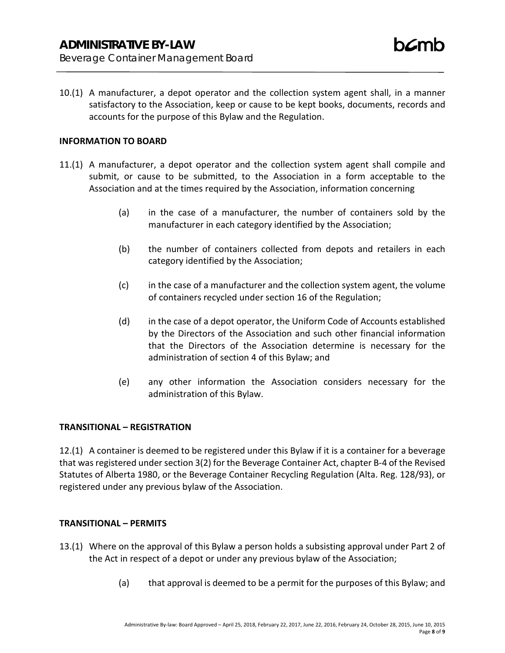10.(1) A manufacturer, a depot operator and the collection system agent shall, in a manner satisfactory to the Association, keep or cause to be kept books, documents, records and accounts for the purpose of this Bylaw and the Regulation.

#### **INFORMATION TO BOARD**

- 11.(1) A manufacturer, a depot operator and the collection system agent shall compile and submit, or cause to be submitted, to the Association in a form acceptable to the Association and at the times required by the Association, information concerning
	- (a) in the case of a manufacturer, the number of containers sold by the manufacturer in each category identified by the Association;
	- (b) the number of containers collected from depots and retailers in each category identified by the Association;
	- (c) in the case of a manufacturer and the collection system agent, the volume of containers recycled under section 16 of the Regulation;
	- (d) in the case of a depot operator, the Uniform Code of Accounts established by the Directors of the Association and such other financial information that the Directors of the Association determine is necessary for the administration of section 4 of this Bylaw; and
	- (e) any other information the Association considers necessary for the administration of this Bylaw.

#### **TRANSITIONAL – REGISTRATION**

12.(1) A container is deemed to be registered under this Bylaw if it is a container for a beverage that was registered under section 3(2) for the Beverage Container Act, chapter B-4 of the Revised Statutes of Alberta 1980, or the Beverage Container Recycling Regulation (Alta. Reg. 128/93), or registered under any previous bylaw of the Association.

#### **TRANSITIONAL – PERMITS**

- 13.(1) Where on the approval of this Bylaw a person holds a subsisting approval under Part 2 of the Act in respect of a depot or under any previous bylaw of the Association;
	- (a) that approval is deemed to be a permit for the purposes of this Bylaw; and